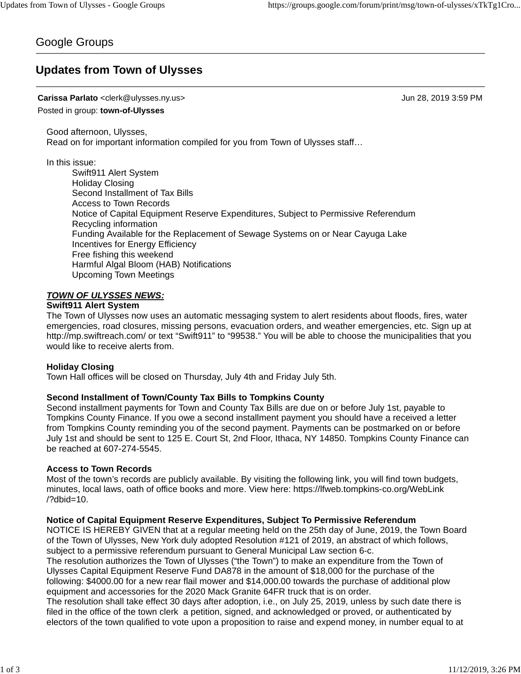# Google Groups

# **Updates from Town of Ulysses**

### **Carissa Parlato** <clerk@ulysses.ny.us> Jun 28, 2019 3:59 PM

Posted in group: **town-of-Ulysses**

Good afternoon, Ulysses, Read on for important information compiled for you from Town of Ulysses staff…

In this issue:

Swift911 Alert System Holiday Closing Second Installment of Tax Bills Access to Town Records Notice of Capital Equipment Reserve Expenditures, Subject to Permissive Referendum Recycling information Funding Available for the Replacement of Sewage Systems on or Near Cayuga Lake Incentives for Energy Efficiency Free fishing this weekend Harmful Algal Bloom (HAB) Notifications Upcoming Town Meetings

## *TOWN OF ULYSSES NEWS:*

### **Swift911 Alert System**

The Town of Ulysses now uses an automatic messaging system to alert residents about floods, fires, water emergencies, road closures, missing persons, evacuation orders, and weather emergencies, etc. Sign up at http://mp.swiftreach.com/ or text "Swift911" to "99538." You will be able to choose the municipalities that you would like to receive alerts from.

### **Holiday Closing**

Town Hall offices will be closed on Thursday, July 4th and Friday July 5th.

### **Second Installment of Town/County Tax Bills to Tompkins County**

Second installment payments for Town and County Tax Bills are due on or before July 1st, payable to Tompkins County Finance. If you owe a second installment payment you should have a received a letter from Tompkins County reminding you of the second payment. Payments can be postmarked on or before July 1st and should be sent to 125 E. Court St, 2nd Floor, Ithaca, NY 14850. Tompkins County Finance can be reached at 607-274-5545.

### **Access to Town Records**

Most of the town's records are publicly available. By visiting the following link, you will find town budgets, minutes, local laws, oath of office books and more. View here: https://lfweb.tompkins-co.org/WebLink /?dbid=10.

### **Notice of Capital Equipment Reserve Expenditures, Subject To Permissive Referendum**

NOTICE IS HEREBY GIVEN that at a regular meeting held on the 25th day of June, 2019, the Town Board of the Town of Ulysses, New York duly adopted Resolution #121 of 2019, an abstract of which follows, subject to a permissive referendum pursuant to General Municipal Law section 6-c.

The resolution authorizes the Town of Ulysses ("the Town") to make an expenditure from the Town of Ulysses Capital Equipment Reserve Fund DA878 in the amount of \$18,000 for the purchase of the following: \$4000.00 for a new rear flail mower and \$14,000.00 towards the purchase of additional plow equipment and accessories for the 2020 Mack Granite 64FR truck that is on order.

The resolution shall take effect 30 days after adoption, i.e., on July 25, 2019, unless by such date there is filed in the office of the town clerk a petition, signed, and acknowledged or proved, or authenticated by electors of the town qualified to vote upon a proposition to raise and expend money, in number equal to at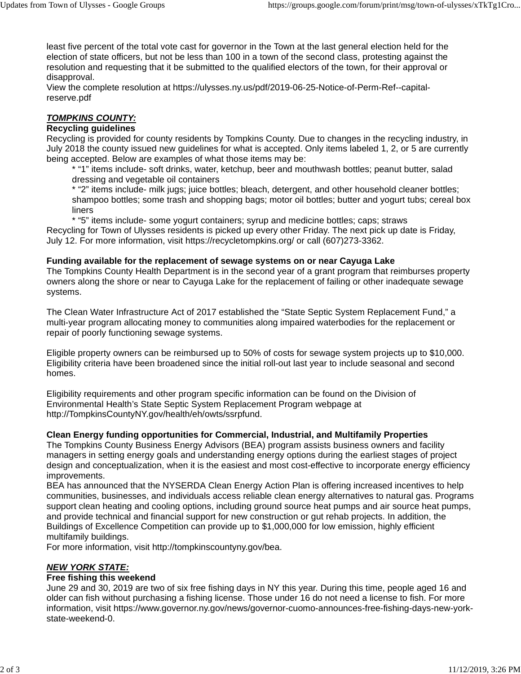least five percent of the total vote cast for governor in the Town at the last general election held for the election of state officers, but not be less than 100 in a town of the second class, protesting against the resolution and requesting that it be submitted to the qualified electors of the town, for their approval or disapproval.

View the complete resolution at https://ulysses.ny.us/pdf/2019-06-25-Notice-of-Perm-Ref--capitalreserve.pdf

## *TOMPKINS COUNTY:*

## **Recycling guidelines**

Recycling is provided for county residents by Tompkins County. Due to changes in the recycling industry, in July 2018 the county issued new guidelines for what is accepted. Only items labeled 1, 2, or 5 are currently being accepted. Below are examples of what those items may be:

\* "1" items include- soft drinks, water, ketchup, beer and mouthwash bottles; peanut butter, salad dressing and vegetable oil containers

\* "2" items include- milk jugs; juice bottles; bleach, detergent, and other household cleaner bottles; shampoo bottles; some trash and shopping bags; motor oil bottles; butter and yogurt tubs; cereal box liners

\* "5" items include- some yogurt containers; syrup and medicine bottles; caps; straws Recycling for Town of Ulysses residents is picked up every other Friday. The next pick up date is Friday, July 12. For more information, visit https://recycletompkins.org/ or call (607)273-3362.

## **Funding available for the replacement of sewage systems on or near Cayuga Lake**

The Tompkins County Health Department is in the second year of a grant program that reimburses property owners along the shore or near to Cayuga Lake for the replacement of failing or other inadequate sewage systems.

The Clean Water Infrastructure Act of 2017 established the "State Septic System Replacement Fund," a multi-year program allocating money to communities along impaired waterbodies for the replacement or repair of poorly functioning sewage systems.

Eligible property owners can be reimbursed up to 50% of costs for sewage system projects up to \$10,000. Eligibility criteria have been broadened since the initial roll-out last year to include seasonal and second homes.

Eligibility requirements and other program specific information can be found on the Division of Environmental Health's State Septic System Replacement Program webpage at http://TompkinsCountyNY.gov/health/eh/owts/ssrpfund.

## **Clean Energy funding opportunities for Commercial, Industrial, and Multifamily Properties**

The Tompkins County Business Energy Advisors (BEA) program assists business owners and facility managers in setting energy goals and understanding energy options during the earliest stages of project design and conceptualization, when it is the easiest and most cost-effective to incorporate energy efficiency improvements.

BEA has announced that the NYSERDA Clean Energy Action Plan is offering increased incentives to help communities, businesses, and individuals access reliable clean energy alternatives to natural gas. Programs support clean heating and cooling options, including ground source heat pumps and air source heat pumps, and provide technical and financial support for new construction or gut rehab projects. In addition, the Buildings of Excellence Competition can provide up to \$1,000,000 for low emission, highly efficient multifamily buildings.

For more information, visit http://tompkinscountyny.gov/bea.

## *NEW YORK STATE:*

### **Free fishing this weekend**

June 29 and 30, 2019 are two of six free fishing days in NY this year. During this time, people aged 16 and older can fish without purchasing a fishing license. Those under 16 do not need a license to fish. For more information, visit https://www.governor.ny.gov/news/governor-cuomo-announces-free-fishing-days-new-yorkstate-weekend-0.